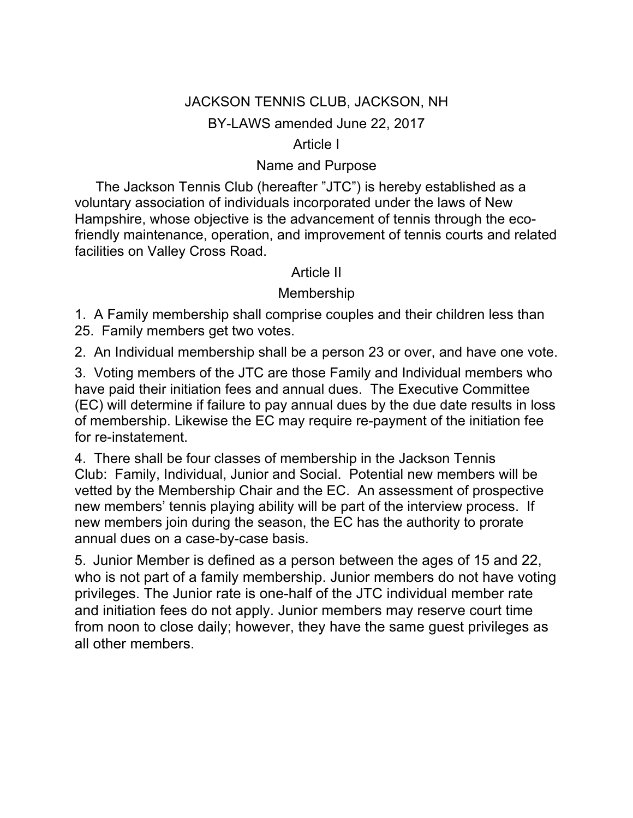# JACKSON TENNIS CLUB, JACKSON, NH BY-LAWS amended June 22, 2017

### Article I

### Name and Purpose

 The Jackson Tennis Club (hereafter "JTC") is hereby established as a voluntary association of individuals incorporated under the laws of New Hampshire, whose objective is the advancement of tennis through the ecofriendly maintenance, operation, and improvement of tennis courts and related facilities on Valley Cross Road.

#### Article II

### Membership

1. A Family membership shall comprise couples and their children less than 25. Family members get two votes.

2. An Individual membership shall be a person 23 or over, and have one vote.

3. Voting members of the JTC are those Family and Individual members who have paid their initiation fees and annual dues. The Executive Committee (EC) will determine if failure to pay annual dues by the due date results in loss of membership. Likewise the EC may require re-payment of the initiation fee for re-instatement.

4. There shall be four classes of membership in the Jackson Tennis Club: Family, Individual, Junior and Social. Potential new members will be vetted by the Membership Chair and the EC. An assessment of prospective new members' tennis playing ability will be part of the interview process. If new members join during the season, the EC has the authority to prorate annual dues on a case-by-case basis.

5. Junior Member is defined as a person between the ages of 15 and 22, who is not part of a family membership. Junior members do not have voting privileges. The Junior rate is one-half of the JTC individual member rate and initiation fees do not apply. Junior members may reserve court time from noon to close daily; however, they have the same guest privileges as all other members.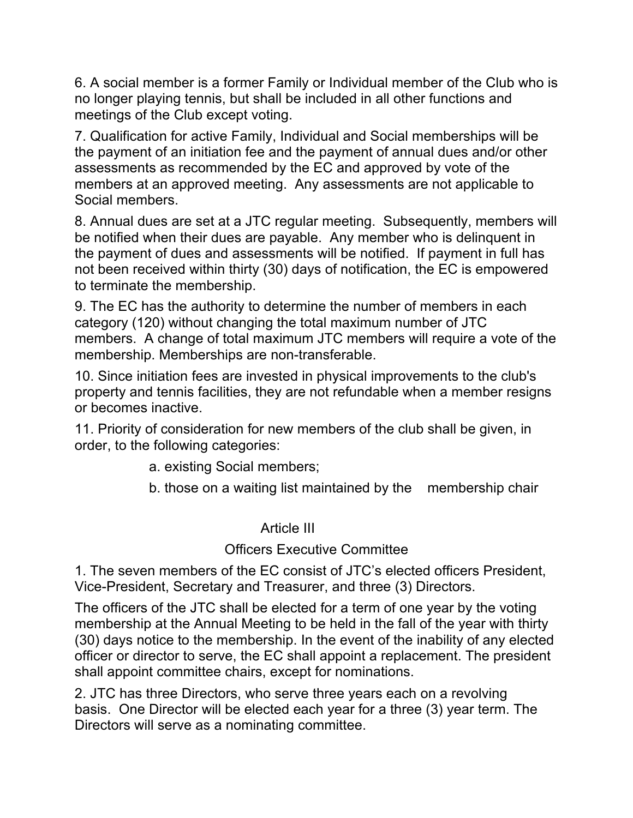6. A social member is a former Family or Individual member of the Club who is no longer playing tennis, but shall be included in all other functions and meetings of the Club except voting.

7. Qualification for active Family, Individual and Social memberships will be the payment of an initiation fee and the payment of annual dues and/or other assessments as recommended by the EC and approved by vote of the members at an approved meeting. Any assessments are not applicable to Social members.

8. Annual dues are set at a JTC regular meeting. Subsequently, members will be notified when their dues are payable. Any member who is delinquent in the payment of dues and assessments will be notified. If payment in full has not been received within thirty (30) days of notification, the EC is empowered to terminate the membership.

9. The EC has the authority to determine the number of members in each category (120) without changing the total maximum number of JTC members. A change of total maximum JTC members will require a vote of the membership. Memberships are non-transferable.

10. Since initiation fees are invested in physical improvements to the club's property and tennis facilities, they are not refundable when a member resigns or becomes inactive.

11. Priority of consideration for new members of the club shall be given, in order, to the following categories:

a. existing Social members;

b. those on a waiting list maintained by the membership chair

#### Article III

## Officers Executive Committee

1. The seven members of the EC consist of JTC's elected officers President, Vice-President, Secretary and Treasurer, and three (3) Directors.

The officers of the JTC shall be elected for a term of one year by the voting membership at the Annual Meeting to be held in the fall of the year with thirty (30) days notice to the membership. In the event of the inability of any elected officer or director to serve, the EC shall appoint a replacement. The president shall appoint committee chairs, except for nominations.

2. JTC has three Directors, who serve three years each on a revolving basis. One Director will be elected each year for a three (3) year term. The Directors will serve as a nominating committee.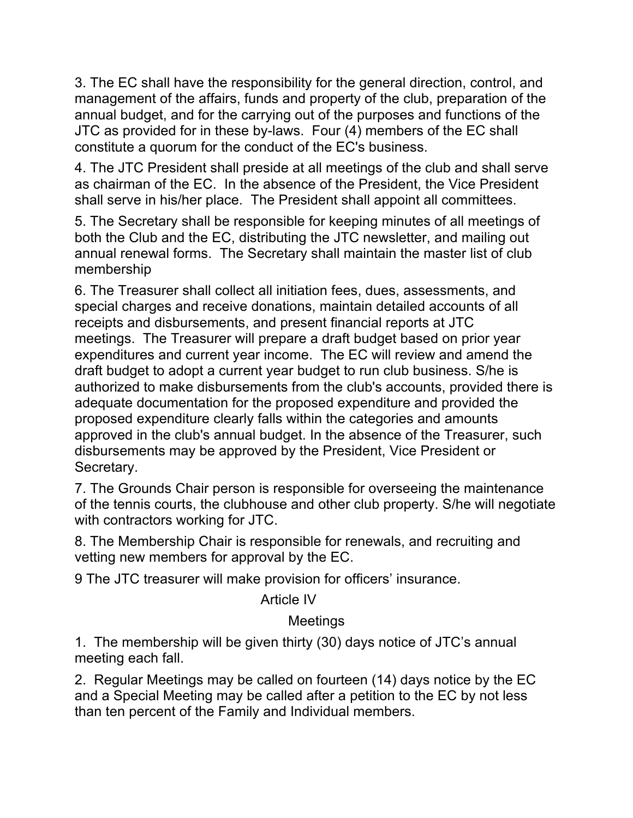3. The EC shall have the responsibility for the general direction, control, and management of the affairs, funds and property of the club, preparation of the annual budget, and for the carrying out of the purposes and functions of the JTC as provided for in these by-laws. Four (4) members of the EC shall constitute a quorum for the conduct of the EC's business.

4. The JTC President shall preside at all meetings of the club and shall serve as chairman of the EC. In the absence of the President, the Vice President shall serve in his/her place. The President shall appoint all committees.

5. The Secretary shall be responsible for keeping minutes of all meetings of both the Club and the EC, distributing the JTC newsletter, and mailing out annual renewal forms. The Secretary shall maintain the master list of club membership

6. The Treasurer shall collect all initiation fees, dues, assessments, and special charges and receive donations, maintain detailed accounts of all receipts and disbursements, and present financial reports at JTC meetings. The Treasurer will prepare a draft budget based on prior year expenditures and current year income. The EC will review and amend the draft budget to adopt a current year budget to run club business. S/he is authorized to make disbursements from the club's accounts, provided there is adequate documentation for the proposed expenditure and provided the proposed expenditure clearly falls within the categories and amounts approved in the club's annual budget. In the absence of the Treasurer, such disbursements may be approved by the President, Vice President or Secretary.

7. The Grounds Chair person is responsible for overseeing the maintenance of the tennis courts, the clubhouse and other club property. S/he will negotiate with contractors working for JTC.

8. The Membership Chair is responsible for renewals, and recruiting and vetting new members for approval by the EC.

9 The JTC treasurer will make provision for officers' insurance.

#### Article IV

# **Meetings**

1. The membership will be given thirty (30) days notice of JTC's annual meeting each fall.

2. Regular Meetings may be called on fourteen (14) days notice by the EC and a Special Meeting may be called after a petition to the EC by not less than ten percent of the Family and Individual members.